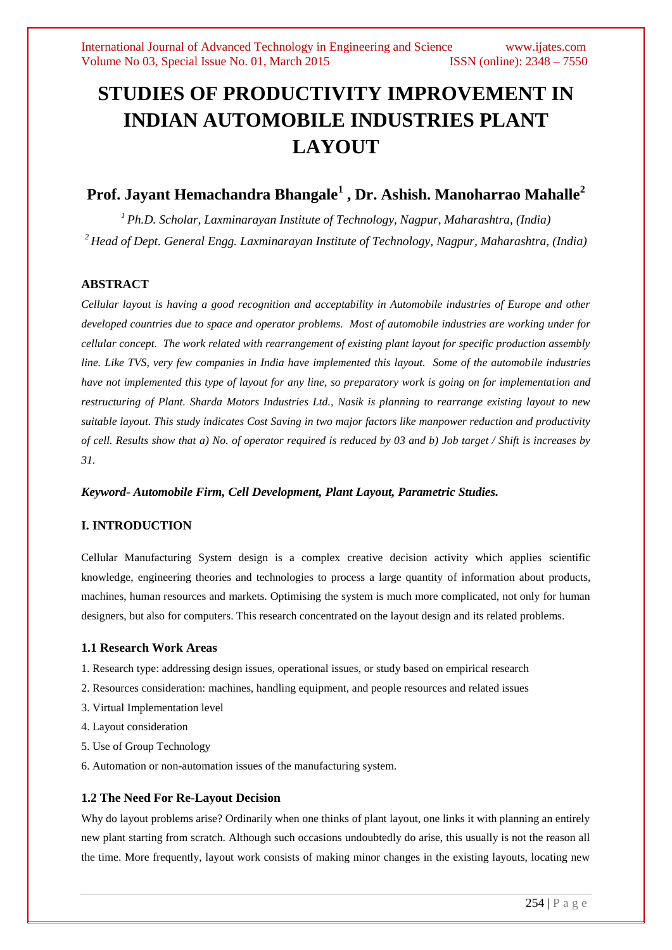# **STUDIES OF PRODUCTIVITY IMPROVEMENT IN INDIAN AUTOMOBILE INDUSTRIES PLANT LAYOUT**

# **Prof. Jayant Hemachandra Bhangale<sup>1</sup> , Dr. Ashish. Manoharrao Mahalle<sup>2</sup>**

*<sup>1</sup>Ph.D. Scholar, Laxminarayan Institute of Technology, Nagpur, Maharashtra, (India) <sup>2</sup>Head of Dept. General Engg. Laxminarayan Institute of Technology, Nagpur, Maharashtra, (India)*

## **ABSTRACT**

*Cellular layout is having a good recognition and acceptability in Automobile industries of Europe and other developed countries due to space and operator problems. Most of automobile industries are working under for cellular concept. The work related with rearrangement of existing plant layout for specific production assembly line. Like TVS, very few companies in India have implemented this layout. Some of the automobile industries have not implemented this type of layout for any line, so preparatory work is going on for implementation and restructuring of Plant. Sharda Motors Industries Ltd., Nasik is planning to rearrange existing layout to new suitable layout. This study indicates Cost Saving in two major factors like manpower reduction and productivity of cell. Results show that a) No. of operator required is reduced by 03 and b) Job target / Shift is increases by 31.*

## *Keyword- Automobile Firm, Cell Development, Plant Layout, Parametric Studies.*

## **I. INTRODUCTION**

Cellular Manufacturing System design is a complex creative decision activity which applies scientific knowledge, engineering theories and technologies to process a large quantity of information about products, machines, human resources and markets. Optimising the system is much more complicated, not only for human designers, but also for computers. This research concentrated on the layout design and its related problems.

#### **1.1 Research Work Areas**

- 1. Research type: addressing design issues, operational issues, or study based on empirical research
- 2. Resources consideration: machines, handling equipment, and people resources and related issues
- 3. Virtual Implementation level
- 4. Layout consideration
- 5. Use of Group Technology
- 6. Automation or non-automation issues of the manufacturing system.

## **1.2 The Need For Re-Layout Decision**

Why do layout problems arise? Ordinarily when one thinks of plant layout, one links it with planning an entirely new plant starting from scratch. Although such occasions undoubtedly do arise, this usually is not the reason all the time. More frequently, layout work consists of making minor changes in the existing layouts, locating new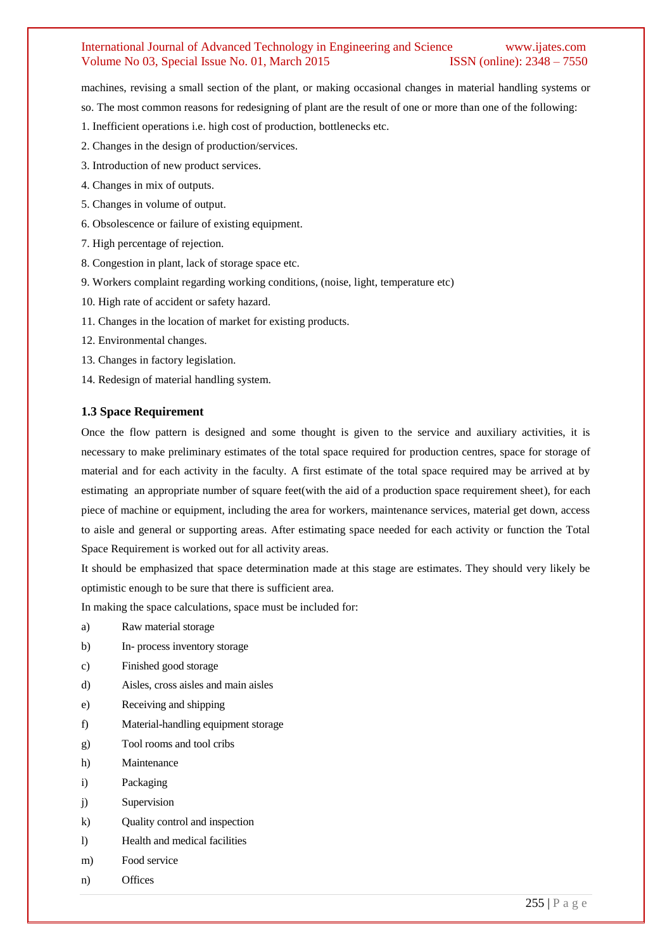machines, revising a small section of the plant, or making occasional changes in material handling systems or

so. The most common reasons for redesigning of plant are the result of one or more than one of the following:

- 1. Inefficient operations i.e. high cost of production, bottlenecks etc.
- 2. Changes in the design of production/services.
- 3. Introduction of new product services.
- 4. Changes in mix of outputs.
- 5. Changes in volume of output.
- 6. Obsolescence or failure of existing equipment.
- 7. High percentage of rejection.
- 8. Congestion in plant, lack of storage space etc.
- 9. Workers complaint regarding working conditions, (noise, light, temperature etc)
- 10. High rate of accident or safety hazard.
- 11. Changes in the location of market for existing products.
- 12. Environmental changes.
- 13. Changes in factory legislation.
- 14. Redesign of material handling system.

#### **1.3 Space Requirement**

Once the flow pattern is designed and some thought is given to the service and auxiliary activities, it is necessary to make preliminary estimates of the total space required for production centres, space for storage of material and for each activity in the faculty. A first estimate of the total space required may be arrived at by estimating an appropriate number of square feet(with the aid of a production space requirement sheet), for each piece of machine or equipment, including the area for workers, maintenance services, material get down, access to aisle and general or supporting areas. After estimating space needed for each activity or function the Total Space Requirement is worked out for all activity areas.

It should be emphasized that space determination made at this stage are estimates. They should very likely be optimistic enough to be sure that there is sufficient area.

In making the space calculations, space must be included for:

- a) Raw material storage
- b) In- process inventory storage
- c) Finished good storage
- d) Aisles, cross aisles and main aisles
- e) Receiving and shipping
- f) Material-handling equipment storage
- g) Tool rooms and tool cribs
- h) Maintenance
- i) Packaging
- j) Supervision
- k) Quality control and inspection
- l) Health and medical facilities
- m) Food service
- n) Offices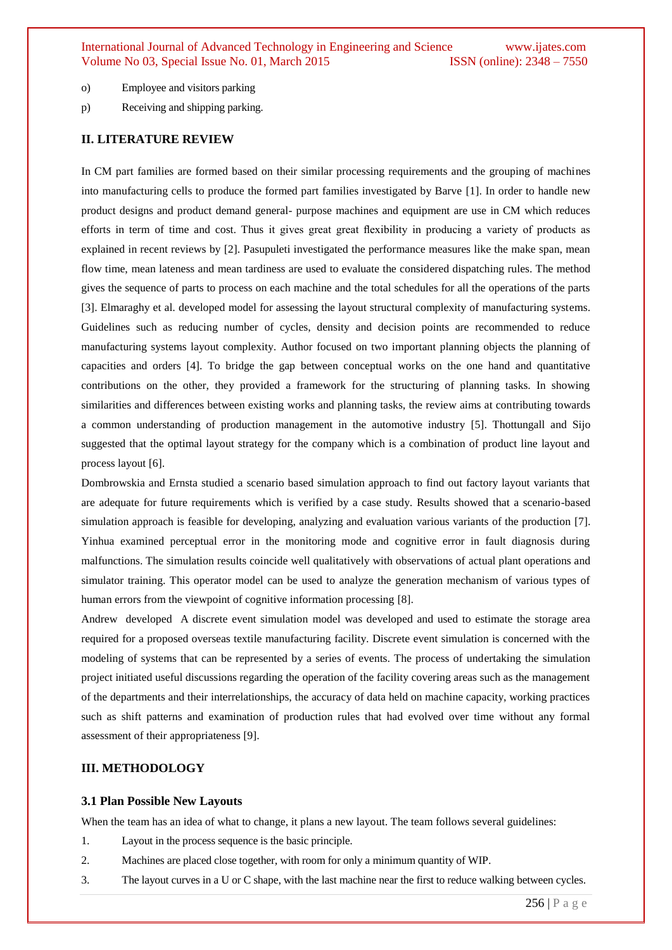- o) Employee and visitors parking
- p) Receiving and shipping parking.

#### **II. LITERATURE REVIEW**

In CM part families are formed based on their similar processing requirements and the grouping of machines into manufacturing cells to produce the formed part families investigated by Barve [1]. In order to handle new product designs and product demand general- purpose machines and equipment are use in CM which reduces efforts in term of time and cost. Thus it gives great great flexibility in producing a variety of products as explained in recent reviews by [2]. Pasupuleti investigated the performance measures like the make span, mean flow time, mean lateness and mean tardiness are used to evaluate the considered dispatching rules. The method gives the sequence of parts to process on each machine and the total schedules for all the operations of the parts [3]. Elmaraghy et al. developed model for assessing the layout structural complexity of manufacturing systems. Guidelines such as reducing number of cycles, density and decision points are recommended to reduce manufacturing systems layout complexity. Author focused on two important planning objects the planning of capacities and orders [4]. To bridge the gap between conceptual works on the one hand and quantitative contributions on the other, they provided a framework for the structuring of planning tasks. In showing similarities and differences between existing works and planning tasks, the review aims at contributing towards a common understanding of production management in the automotive industry [5]. Thottungall and Sijo suggested that the optimal layout strategy for the company which is a combination of product line layout and process layout [6].

Dombrowskia and Ernsta studied a scenario based simulation approach to find out factory layout variants that are adequate for future requirements which is verified by a case study. Results showed that a scenario-based simulation approach is feasible for developing, analyzing and evaluation various variants of the production [7]. Yinhua examined perceptual error in the monitoring mode and cognitive error in fault diagnosis during malfunctions. The simulation results coincide well qualitatively with observations of actual plant operations and simulator training. This operator model can be used to analyze the generation mechanism of various types of human errors from the viewpoint of cognitive information processing [8].

Andrew developed A discrete event simulation model was developed and used to estimate the storage area required for a proposed overseas textile manufacturing facility. Discrete event simulation is concerned with the modeling of systems that can be represented by a series of events. The process of undertaking the simulation project initiated useful discussions regarding the operation of the facility covering areas such as the management of the departments and their interrelationships, the accuracy of data held on machine capacity, working practices such as shift patterns and examination of production rules that had evolved over time without any formal assessment of their appropriateness [9].

#### **III. METHODOLOGY**

#### **3.1 Plan Possible New Layouts**

When the team has an idea of what to change, it plans a new layout. The team follows several guidelines:

- 1. Layout in the process sequence is the basic principle.
- 2. Machines are placed close together, with room for only a minimum quantity of WIP.
- 3. The layout curves in a U or C shape, with the last machine near the first to reduce walking between cycles.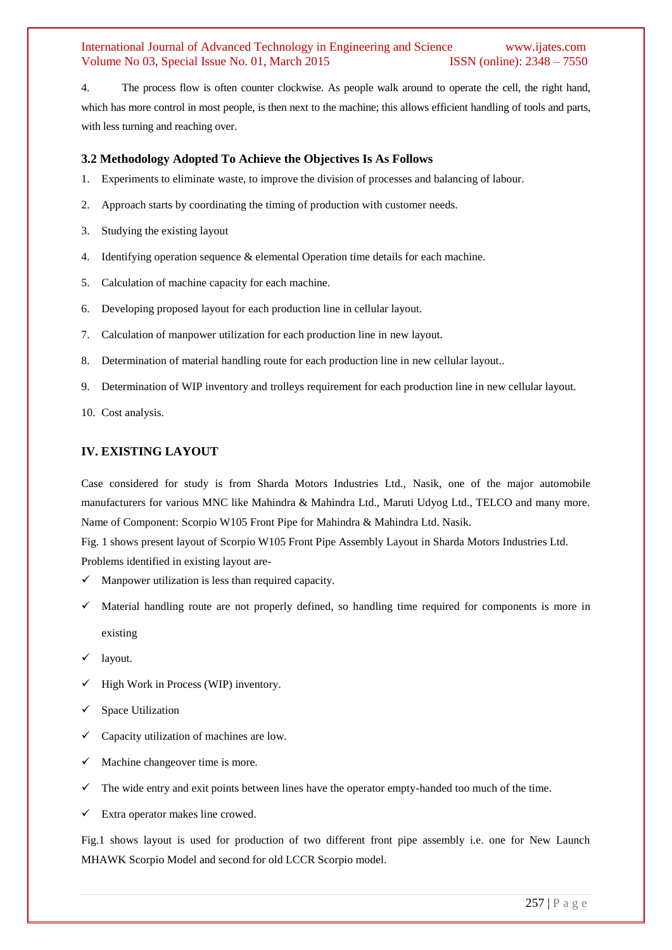4. The process flow is often counter clockwise. As people walk around to operate the cell, the right hand, which has more control in most people, is then next to the machine; this allows efficient handling of tools and parts, with less turning and reaching over.

#### **3.2 Methodology Adopted To Achieve the Objectives Is As Follows**

- 1. Experiments to eliminate waste, to improve the division of processes and balancing of labour.
- 2. Approach starts by coordinating the timing of production with customer needs.
- 3. Studying the existing layout
- 4. Identifying operation sequence  $\&$  elemental Operation time details for each machine.
- 5. Calculation of machine capacity for each machine.
- 6. Developing proposed layout for each production line in cellular layout.
- 7. Calculation of manpower utilization for each production line in new layout.
- 8. Determination of material handling route for each production line in new cellular layout..
- 9. Determination of WIP inventory and trolleys requirement for each production line in new cellular layout.
- 10. Cost analysis.

#### **IV. EXISTING LAYOUT**

Case considered for study is from Sharda Motors Industries Ltd., Nasik, one of the major automobile manufacturers for various MNC like Mahindra & Mahindra Ltd., Maruti Udyog Ltd., TELCO and many more. Name of Component: Scorpio W105 Front Pipe for Mahindra & Mahindra Ltd. Nasik.

Fig. 1 shows present layout of Scorpio W105 Front Pipe Assembly Layout in Sharda Motors Industries Ltd. Problems identified in existing layout are-

- $\checkmark$  Manpower utilization is less than required capacity.
- Material handling route are not properly defined, so handling time required for components is more in existing
- $\checkmark$  layout.
- $\checkmark$  High Work in Process (WIP) inventory.
- $\checkmark$  Space Utilization
- $\checkmark$  Capacity utilization of machines are low.
- $\checkmark$  Machine changeover time is more.
- $\checkmark$  The wide entry and exit points between lines have the operator empty-handed too much of the time.
- Extra operator makes line crowed.

Fig.1 shows layout is used for production of two different front pipe assembly i.e. one for New Launch MHAWK Scorpio Model and second for old LCCR Scorpio model.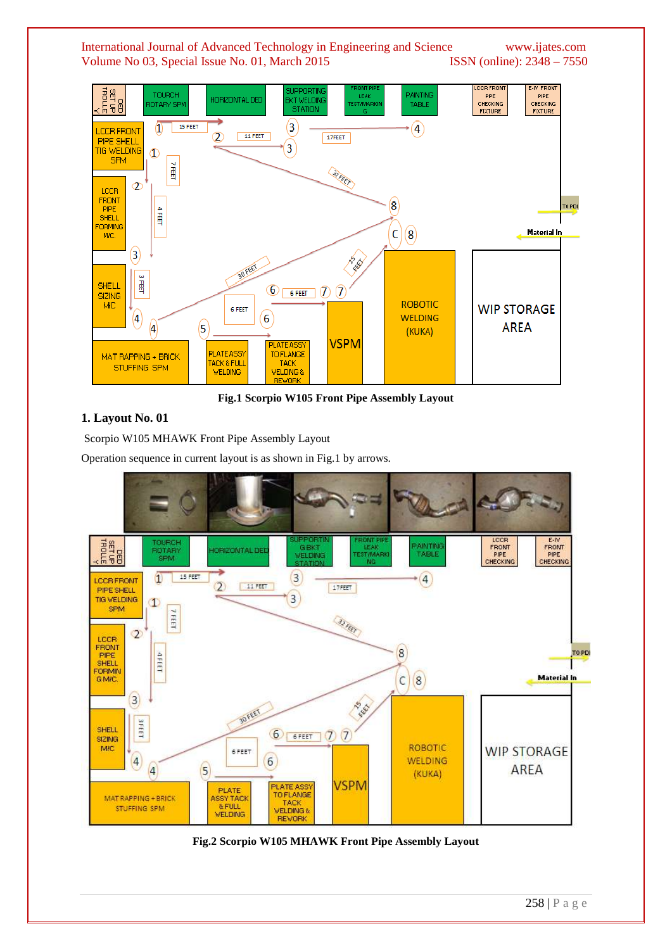

**Fig.1 Scorpio W105 Front Pipe Assembly Layout**

## **1. Layout No. 01**

Scorpio W105 MHAWK Front Pipe Assembly Layout

Operation sequence in current layout is as shown in Fig.1 by arrows.



**Fig.2 Scorpio W105 MHAWK Front Pipe Assembly Layout**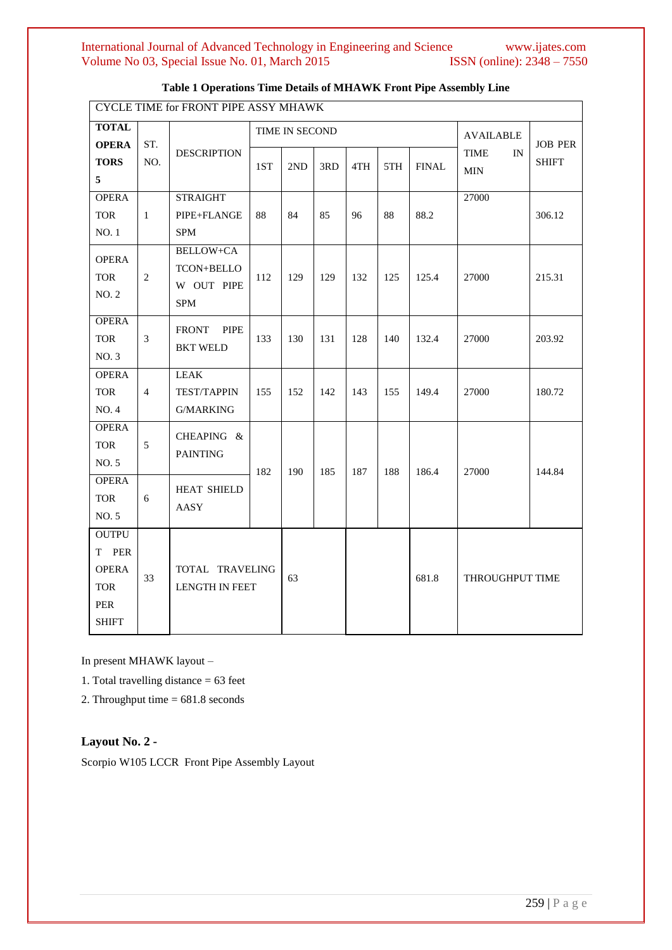| CYCLE TIME for FRONT PIPE ASSY MHAWK                                       |                |                                                                   |     |                |     |                  |     |              |                                 |                                |
|----------------------------------------------------------------------------|----------------|-------------------------------------------------------------------|-----|----------------|-----|------------------|-----|--------------|---------------------------------|--------------------------------|
| <b>TOTAL</b>                                                               |                |                                                                   |     | TIME IN SECOND |     | <b>AVAILABLE</b> |     |              |                                 |                                |
| <b>OPERA</b><br><b>TORS</b><br>5                                           | ST.<br>NO.     | <b>DESCRIPTION</b>                                                | 1ST | 2ND            | 3RD | 4TH              | 5TH | <b>FINAL</b> | <b>TIME</b><br>IN<br><b>MIN</b> | <b>JOB PER</b><br><b>SHIFT</b> |
| <b>OPERA</b><br><b>TOR</b><br>NO. 1                                        | $\mathbf{1}$   | <b>STRAIGHT</b><br>PIPE+FLANGE<br><b>SPM</b>                      | 88  | 84             | 85  | 96               | 88  | 88.2         | 27000                           | 306.12                         |
| <b>OPERA</b><br><b>TOR</b><br>NO. 2                                        | $\overline{2}$ | <b>BELLOW+CA</b><br><b>TCON+BELLO</b><br>W OUT PIPE<br><b>SPM</b> | 112 | 129            | 129 | 132              | 125 | 125.4        | 27000                           | 215.31                         |
| <b>OPERA</b><br><b>TOR</b><br>NO. 3                                        | 3              | <b>FRONT</b><br><b>PIPE</b><br><b>BKT WELD</b>                    | 133 | 130            | 131 | 128              | 140 | 132.4        | 27000                           | 203.92                         |
| <b>OPERA</b><br><b>TOR</b><br>NO. 4                                        | $\overline{4}$ | <b>LEAK</b><br><b>TEST/TAPPIN</b><br><b>G/MARKING</b>             | 155 | 152            | 142 | 143              | 155 | 149.4        | 27000                           | 180.72                         |
| <b>OPERA</b><br><b>TOR</b><br>NO. 5                                        | 5              | CHEAPING &<br><b>PAINTING</b>                                     | 182 | 190            | 185 | 187              | 188 | 186.4        | 27000                           | 144.84                         |
| <b>OPERA</b><br><b>TOR</b><br>NO. 5                                        | 6              | <b>HEAT SHIELD</b><br>AASY                                        |     |                |     |                  |     |              |                                 |                                |
| <b>OUTPU</b><br>T PER<br><b>OPERA</b><br><b>TOR</b><br>PER<br><b>SHIFT</b> | 33             | TOTAL TRAVELING<br><b>LENGTH IN FEET</b>                          |     | 63             |     |                  |     | 681.8        | THROUGHPUT TIME                 |                                |

## **Table 1 Operations Time Details of MHAWK Front Pipe Assembly Line**

In present MHAWK layout –

1. Total travelling distance = 63 feet

2. Throughput time = 681.8 seconds

## **Layout No. 2 -**

Scorpio W105 LCCR Front Pipe Assembly Layout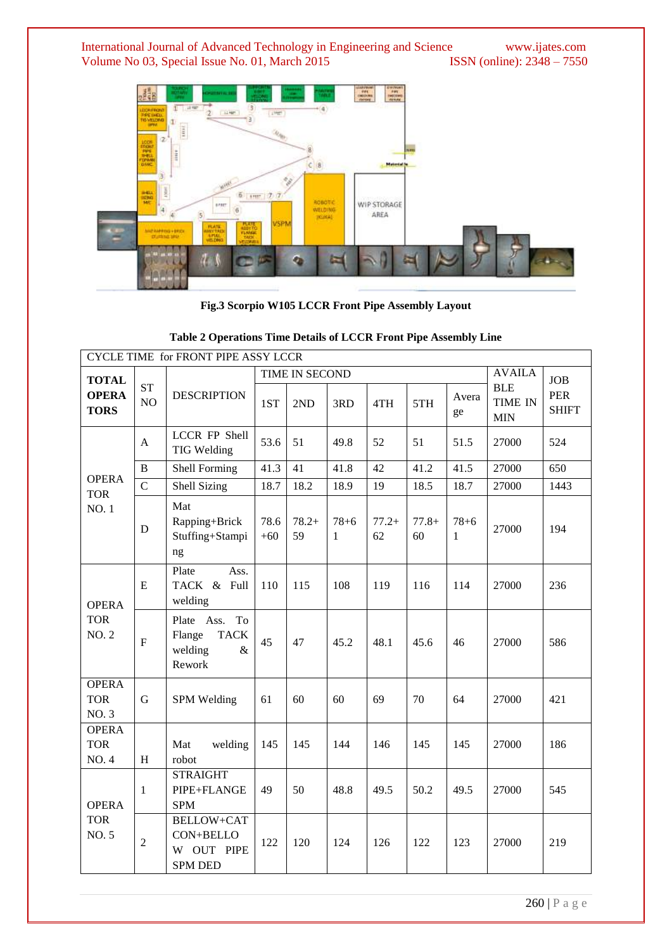International Journal of Advanced Technology in Engineering and Science www.ijates.com Volume No 03, Special Issue No. 01, March 2015 **ISSN** (online): 2348 – 7550 Volume No 03, Special Issue No. 01, March 2015



**Fig.3 Scorpio W105 LCCR Front Pipe Assembly Layout**

| CYCLE TIME for FRONT PIPE ASSY LCCR        |                 |                                                                        |               |                |                             |               |               |                          |                                            |                            |
|--------------------------------------------|-----------------|------------------------------------------------------------------------|---------------|----------------|-----------------------------|---------------|---------------|--------------------------|--------------------------------------------|----------------------------|
| <b>TOTAL</b>                               |                 |                                                                        |               | TIME IN SECOND | <b>AVAILA</b><br><b>JOB</b> |               |               |                          |                                            |                            |
| <b>OPERA</b><br><b>TORS</b>                | <b>ST</b><br>NO | <b>DESCRIPTION</b>                                                     | 1ST           | 2ND            | 3RD                         | 4TH           | 5TH           | Avera<br>ge              | <b>BLE</b><br><b>TIME IN</b><br><b>MIN</b> | <b>PER</b><br><b>SHIFT</b> |
|                                            | $\mathbf{A}$    | LCCR FP Shell<br>TIG Welding                                           | 53.6          | 51             | 49.8                        | 52            | 51            | 51.5                     | 27000                                      | 524                        |
|                                            | B               | Shell Forming                                                          | 41.3          | 41             | 41.8                        | 42            | 41.2          | 41.5                     | 27000                                      | 650                        |
| <b>OPERA</b><br><b>TOR</b>                 | $\overline{C}$  | Shell Sizing                                                           | 18.7          | 18.2           | 18.9                        | 19            | 18.5          | 18.7                     | 27000                                      | 1443                       |
| <b>NO.1</b>                                | D               | Mat<br>Rapping+Brick<br>Stuffing+Stampi<br>ng                          | 78.6<br>$+60$ | $78.2+$<br>59  | $78 + 6$<br>$\mathbf{1}$    | $77.2+$<br>62 | $77.8+$<br>60 | $78 + 6$<br>$\mathbf{1}$ | 27000                                      | 194                        |
| <b>OPERA</b><br><b>TOR</b><br><b>NO. 2</b> | E               | Plate<br>Ass.<br>TACK & Full<br>welding                                | 110           | 115            | 108                         | 119           | 116           | 114                      | 27000                                      | 236                        |
|                                            | $\mathbf F$     | Plate Ass.<br>To<br><b>TACK</b><br>Flange<br>welding<br>$\&$<br>Rework | 45            | 47             | 45.2                        | 48.1          | 45.6          | 46                       | 27000                                      | 586                        |
| <b>OPERA</b><br><b>TOR</b><br>NO. 3        | $\mathbf G$     | SPM Welding                                                            | 61            | 60             | 60                          | 69            | 70            | 64                       | 27000                                      | 421                        |
| <b>OPERA</b><br><b>TOR</b><br>NO. 4        | H               | Mat<br>welding<br>robot                                                | 145           | 145            | 144                         | 146           | 145           | 145                      | 27000                                      | 186                        |
| <b>OPERA</b><br><b>TOR</b><br>NO. 5        | $\mathbf{1}$    | <b>STRAIGHT</b><br>PIPE+FLANGE<br><b>SPM</b>                           | 49            | 50             | 48.8                        | 49.5          | 50.2          | 49.5                     | 27000                                      | 545                        |
|                                            | $\sqrt{2}$      | <b>BELLOW+CAT</b><br>CON+BELLO<br>W OUT PIPE<br><b>SPM DED</b>         | 122           | 120            | 124                         | 126           | 122           | 123                      | 27000                                      | 219                        |

#### **Table 2 Operations Time Details of LCCR Front Pipe Assembly Line**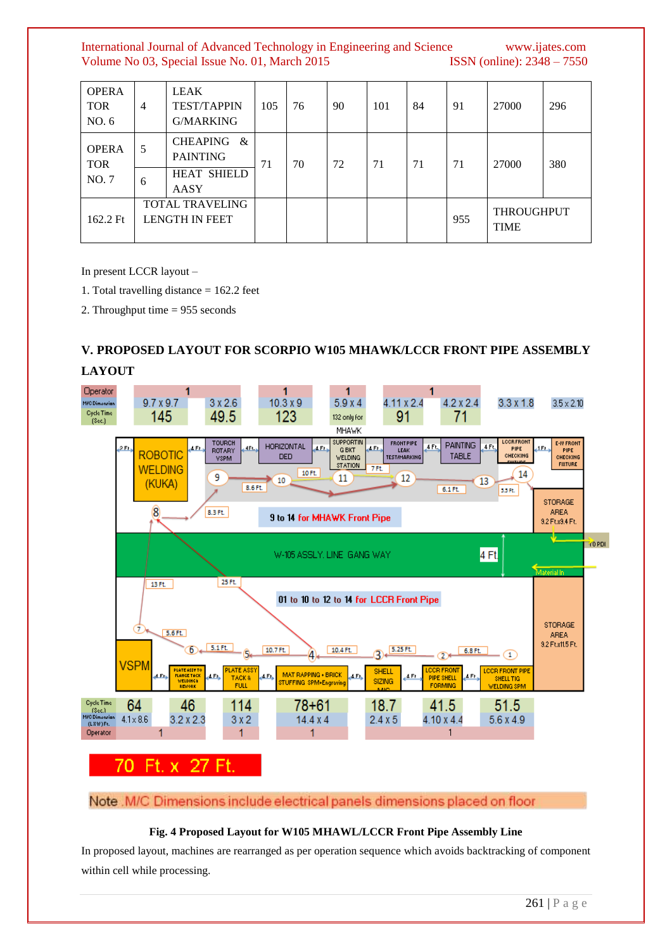| <b>OPERA</b><br><b>TOR</b><br>NO. 6 | 4                                               | <b>LEAK</b><br><b>TEST/TAPPIN</b><br>G/MARKING | 105 | 76 | 90 | 101 | 84 | 91  | 27000                            | 296 |
|-------------------------------------|-------------------------------------------------|------------------------------------------------|-----|----|----|-----|----|-----|----------------------------------|-----|
| <b>OPERA</b><br><b>TOR</b><br>NO. 7 | 5                                               | <b>CHEAPING</b><br>&<br><b>PAINTING</b>        | 71  | 70 | 72 | 71  | 71 | 71  | 27000                            | 380 |
|                                     | 6                                               | <b>HEAT SHIELD</b><br>AASY                     |     |    |    |     |    |     |                                  |     |
| 162.2 Ft                            | <b>TOTAL TRAVELING</b><br><b>LENGTH IN FEET</b> |                                                |     |    |    |     |    | 955 | <b>THROUGHPUT</b><br><b>TIME</b> |     |

In present LCCR layout –

- 1. Total travelling distance = 162.2 feet
- 2. Throughput time = 955 seconds

## **V. PROPOSED LAYOUT FOR SCORPIO W105 MHAWK/LCCR FRONT PIPE ASSEMBLY**



Note .M/C Dimensions include electrical panels dimensions placed on floor

## **Fig. 4 Proposed Layout for W105 MHAWL/LCCR Front Pipe Assembly Line**

In proposed layout, machines are rearranged as per operation sequence which avoids backtracking of component within cell while processing.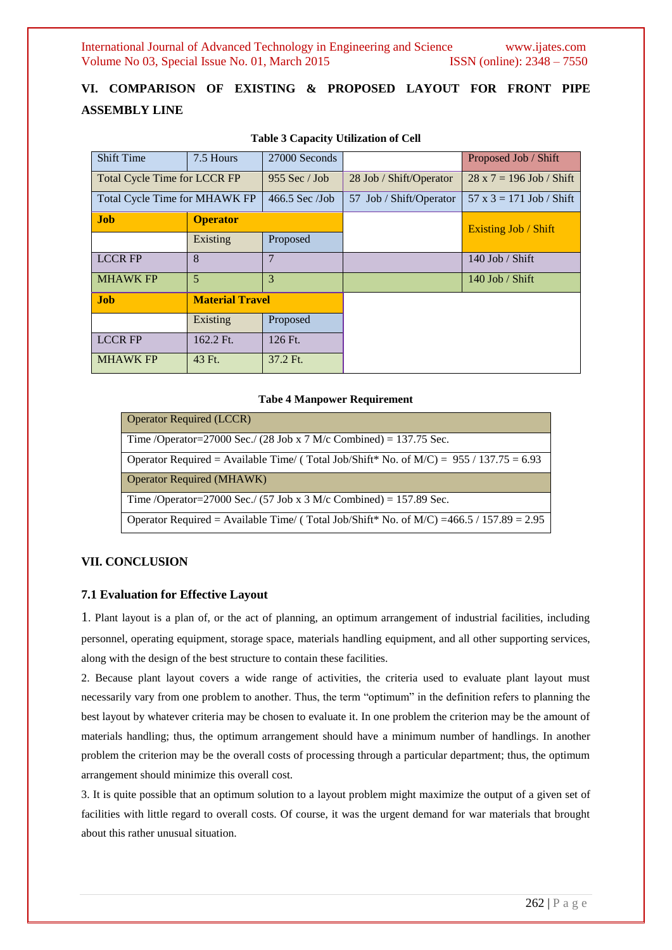## **VI. COMPARISON OF EXISTING & PROPOSED LAYOUT FOR FRONT PIPE ASSEMBLY LINE**

| <b>Shift Time</b><br>7.5 Hours      |                        | 27000 Seconds    |                         | Proposed Job / Shift            |  |
|-------------------------------------|------------------------|------------------|-------------------------|---------------------------------|--|
| <b>Total Cycle Time for LCCR FP</b> |                        | $955$ Sec / Job  | 28 Job / Shift/Operator | $28 \times 7 = 196$ Job / Shift |  |
| Total Cycle Time for MHAWK FP       |                        | $466.5$ Sec /Job | 57 Job / Shift/Operator | $57 \times 3 = 171$ Job / Shift |  |
| <b>Job</b>                          | <b>Operator</b>        |                  |                         | <b>Existing Job / Shift</b>     |  |
|                                     | Existing               | Proposed         |                         |                                 |  |
| <b>LCCR FP</b>                      | 8                      | $\overline{7}$   |                         | 140 Job / Shift                 |  |
| <b>MHAWK FP</b>                     | 5                      | 3                |                         | $140$ Job / Shift               |  |
| <b>Job</b>                          | <b>Material Travel</b> |                  |                         |                                 |  |
|                                     | Existing               | Proposed         |                         |                                 |  |
| <b>LCCR FP</b>                      | 162.2 Ft.              | 126 Ft.          |                         |                                 |  |
| <b>MHAWK FP</b>                     | 43 Ft.                 | 37.2 Ft.         |                         |                                 |  |

#### **Table 3 Capacity Utilization of Cell**

#### **Tabe 4 Manpower Requirement**

| <b>Operator Required (LCCR)</b>                                                             |
|---------------------------------------------------------------------------------------------|
| Time /Operator=27000 Sec./ (28 Job x 7 M/c Combined) = 137.75 Sec.                          |
| Operator Required = Available Time/ (Total Job/Shift* No. of $M/C$ ) = 955 / 137.75 = 6.93  |
| <b>Operator Required (MHAWK)</b>                                                            |
| Time /Operator=27000 Sec./ (57 Job x 3 M/c Combined) = 157.89 Sec.                          |
| Operator Required = Available Time/ (Total Job/Shift* No. of $M/C$ ) =466.5 / 157.89 = 2.95 |

#### **VII. CONCLUSION**

## **7.1 Evaluation for Effective Layout**

1. Plant layout is a plan of, or the act of planning, an optimum arrangement of industrial facilities, including personnel, operating equipment, storage space, materials handling equipment, and all other supporting services, along with the design of the best structure to contain these facilities.

2. Because plant layout covers a wide range of activities, the criteria used to evaluate plant layout must necessarily vary from one problem to another. Thus, the term "optimum" in the definition refers to planning the best layout by whatever criteria may be chosen to evaluate it. In one problem the criterion may be the amount of materials handling; thus, the optimum arrangement should have a minimum number of handlings. In another problem the criterion may be the overall costs of processing through a particular department; thus, the optimum arrangement should minimize this overall cost.

3. It is quite possible that an optimum solution to a layout problem might maximize the output of a given set of facilities with little regard to overall costs. Of course, it was the urgent demand for war materials that brought about this rather unusual situation.